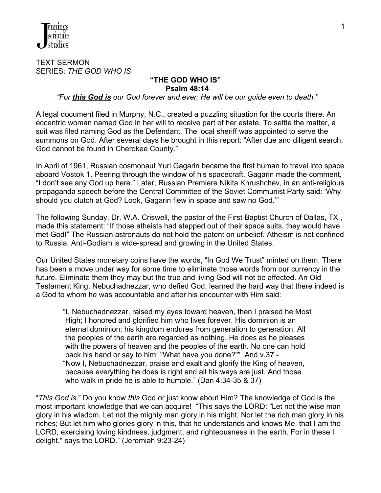

TEXT SERMON SERIES: *THE GOD WHO IS*

#### **"THE GOD WHO IS" Psalm 48:14**

 *"For this God is our God forever and ever; He will be our guide even to death."*

A legal document filed in Murphy, N.C., created a puzzling situation for the courts there. An eccentric woman named God in her will to receive part of her estate. To settle the matter, a suit was filed naming God as the Defendant. The local sheriff was appointed to serve the summons on God. After several days he brought in this report: "After due and diligent search, God cannot be found in Cherokee County."

In April of 1961, Russian cosmonaut Yuri Gagarin became the first human to travel into space aboard Vostok 1. Peering through the window of his spacecraft, Gagarin made the comment, "I don't see any God up here." Later, Russian Premiere Nikita Khrushchev, in an anti-religious propaganda speech before the Central Committee of the Soviet Communist Party said: 'Why should you clutch at God? Look, Gagarin flew in space and saw no God.'"

The following Sunday, Dr. W.A. Criswell, the pastor of the First Baptist Church of Dallas, TX , made this statement: "If those atheists had stepped out of their space suits, they would have met God!" The Russian astronauts do not hold the patent on unbelief. Atheism is not confined to Russia. Anti-Godism is wide-spread and growing in the United States.

Our United States monetary coins have the words, "In God We Trust" minted on them. There has been a move under way for some time to eliminate those words from our currency in the future. Eliminate them they may but the true and living God will not be affected. An Old Testament King, Nebuchadnezzar, who defied God, learned the hard way that there indeed is a God to whom he was accountable and after his encounter with Him said:

 "I, Nebuchadnezzar, raised my eyes toward heaven, then I praised he Most High; I honored and glorified him who lives forever. His dominion is an eternal dominion; his kingdom endures from generation to generation. All the peoples of the earth are regarded as nothing. He does as he pleases with the powers of heaven and the peoples of the earth. No one can hold back his hand or say to him: "What have you done?"" And v.37 - "Now I, Nebuchadnezzar, praise and exalt and glorify the King of heaven, because everything he does is right and all his ways are just. And those who walk in pride he is able to humble." (Dan 4:34-35 & 37)

"*This God is.*" Do you know *this* God or just know about Him? The knowledge of God is the most important knowledge that we can acquire! "This says the LORD: "Let not the wise man glory in his wisdom, Let not the mighty man glory in his might, Nor let the rich man glory in his riches; But let him who glories glory in this, that he understands and knows Me, that I am the LORD, exercising loving kindness, judgment, and righteousness in the earth. For in these I delight," says the LORD." (Jeremiah 9:23-24)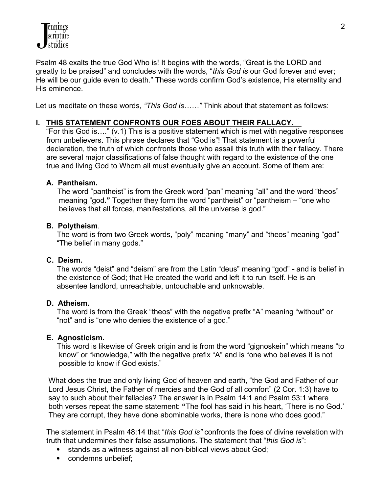Psalm 48 exalts the true God Who is! It begins with the words, "Great is the LORD and greatly to be praised" and concludes with the words, "*this God is* our God forever and ever; He will be our guide even to death." These words confirm God's existence, His eternality and His eminence.

Let us meditate on these words, *"This God is……"* Think about that statement as follows:

# **I. THIS STATEMENT CONFRONTS OUR FOES ABOUT THEIR FALLACY.**

"For this God is…." (v.1) This is a positive statement which is met with negative responses from unbelievers. This phrase declares that "God is"! That statement is a powerful declaration, the truth of which confronts those who assail this truth with their fallacy. There are several major classifications of false thought with regard to the existence of the one true and living God to Whom all must eventually give an account. Some of them are:

#### **A. Pantheism.**

 The word "pantheist" is from the Greek word "pan" meaning "all" and the word "theos" meaning "god**."** Together they form the word "pantheist" or "pantheism – "one who believes that all forces, manifestations, all the universe is god."

#### **B. Polytheism**.

 The word is from two Greek words, "poly" meaning "many" and "theos" meaning "god"– "The belief in many gods."

# **C. Deism.**

 The words "deist" and "deism" are from the Latin "deus" meaning "god" **-** and is belief in the existence of God; that He created the world and left it to run itself. He is an absentee landlord, unreachable, untouchable and unknowable.

#### **D. Atheism.**

 The word is from the Greek "theos" with the negative prefix "A" meaning "without" or "not" and is "one who denies the existence of a god."

# **E. Agnosticism.**

 This word is likewise of Greek origin and is from the word "gignoskein" which means "to know" or "knowledge," with the negative prefix "A" and is "one who believes it is not possible to know if God exists."

 What does the true and only living God of heaven and earth, "the God and Father of our Lord Jesus Christ, the Father of mercies and the God of all comfort" (2 Cor. 1:3) have to say to such about their fallacies? The answer is in Psalm 14:1 and Psalm 53:1 where both verses repeat the same statement: **"**The fool has said in his heart, 'There is no God.' They are corrupt, they have done abominable works, there is none who does good."

 The statement in Psalm 48:14 that "*this God is"* confronts the foes of divine revelation with truth that undermines their false assumptions. The statement that "*this God is*":

- stands as a witness against all non-biblical views about God;
- condemns unbelief: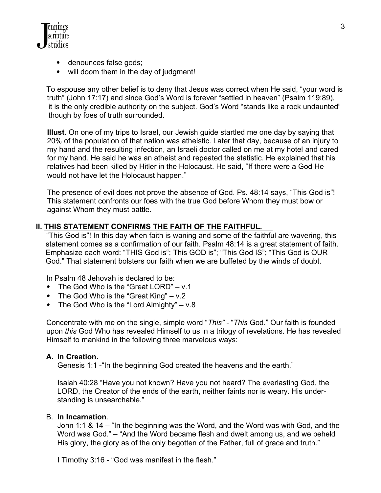

- denounces false gods;
- will doom them in the day of judgment!

 To espouse any other belief is to deny that Jesus was correct when He said, "your word is truth" (John 17:17) and since God's Word is forever "settled in heaven" (Psalm 119:89), it is the only credible authority on the subject. God's Word "stands like a rock undaunted" though by foes of truth surrounded.

**Illust.** On one of my trips to Israel, our Jewish guide startled me one day by saying that 20% of the population of that nation was atheistic. Later that day, because of an injury to my hand and the resulting infection, an Israeli doctor called on me at my hotel and cared for my hand. He said he was an atheist and repeated the statistic. He explained that his relatives had been killed by Hitler in the Holocaust. He said, "If there were a God He would not have let the Holocaust happen."

The presence of evil does not prove the absence of God. Ps. 48:14 says, "This God is"! This statement confronts our foes with the true God before Whom they must bow or against Whom they must battle.

# **II. THIS STATEMENT CONFIRMS THE FAITH OF THE FAITHFUL.**

 "This God is"! In this day when faith is waning and some of the faithful are wavering, this statement comes as a confirmation of our faith. Psalm 48:14 is a great statement of faith. Emphasize each word: "THIS God is"; This GOD is"; "This God IS"; "This God is OUR God." That statement bolsters our faith when we are buffeted by the winds of doubt.

In Psalm 48 Jehovah is declared to be:

- The God Who is the "Great LORD" v.1
- The God Who is the "Great King" v.2
- The God Who is the "Lord Almighty"  $v.8$

 Concentrate with me on the single, simple word "*This"* - "*This* God." Our faith is founded upon *this* God Who has revealed Himself to us in a trilogy of revelations. He has revealed Himself to mankind in the following three marvelous ways:

#### **A. In Creation.**

Genesis 1:1 -"In the beginning God created the heavens and the earth."

Isaiah 40:28 "Have you not known? Have you not heard? The everlasting God, the LORD, the Creator of the ends of the earth, neither faints nor is weary. His understanding is unsearchable."

#### B. **In Incarnation**.

John 1:1 & 14 – "In the beginning was the Word, and the Word was with God, and the Word was God." – "And the Word became flesh and dwelt among us, and we beheld His glory, the glory as of the only begotten of the Father, full of grace and truth."

I Timothy 3:16 - "God was manifest in the flesh."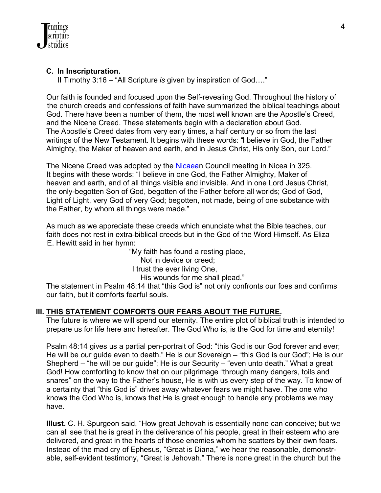# **C. In Inscripturation.**

II Timothy 3:16 – "All Scripture *is* given by inspiration of God…."

 Our faith is founded and focused upon the Self-revealing God. Throughout the history of the church creeds and confessions of faith have summarized the biblical teachings about God. There have been a number of them, the most well known are the Apostle's Creed, and the Nicene Creed. These statements begin with a declaration about God. The Apostle's Creed dates from very early times, a half century or so from the last writings of the New Testament. It begins with these words: "I believe in God, the Father Almighty, the Maker of heaven and earth, and in Jesus Christ, His only Son, our Lord."

 The Nicene Creed was adopted by the [Nicaean](http://en.wikipedia.org/wiki/%C4%B0znik) Council meeting in Nicea in 325. It begins with these words: "I believe in one God, the Father Almighty, Maker of heaven and earth, and of all things visible and invisible. And in one Lord Jesus Christ, the only-begotten Son of God, begotten of the Father before all worlds; God of God, Light of Light, very God of very God; begotten, not made, being of one substance with the Father, by whom all things were made."

 As much as we appreciate these creeds which enunciate what the Bible teaches, our faith does not rest in extra-biblical creeds but in the God of the Word Himself. As Eliza E. Hewitt said in her hymn:

 "My faith has found a resting place, Not in device or creed; I trust the ever living One, His wounds for me shall plead."

 The statement in Psalm 48:14 that "this God is" not only confronts our foes and confirms our faith, but it comforts fearful souls.

# **III. THIS STATEMENT COMFORTS OUR FEARS ABOUT THE FUTURE.**

 The future is where we will spend our eternity. The entire plot of biblical truth is intended to prepare us for life here and hereafter. The God Who is, is the God for time and eternity!

Psalm 48:14 gives us a partial pen-portrait of God: "this God is our God forever and ever; He will be our guide even to death." He is our Sovereign – "this God is our God"; He is our Shepherd – "he will be our guide"; He is our Security – "even unto death." What a great God! How comforting to know that on our pilgrimage "through many dangers, toils and snares" on the way to the Father's house, He is with us every step of the way. To know of a certainty that "this God is" drives away whatever fears we might have. The one who knows the God Who is, knows that He is great enough to handle any problems we may have.

 **Illust.** C. H. Spurgeon said, "How great Jehovah is essentially none can conceive; but we can all see that he is great in the deliverance of his people, great in their esteem who are delivered, and great in the hearts of those enemies whom he scatters by their own fears. Instead of the mad cry of Ephesus, "Great is Diana," we hear the reasonable, demonstr able, self-evident testimony, "Great is Jehovah." There is none great in the church but the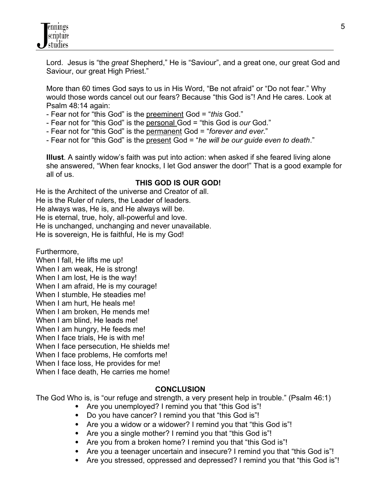Lord. Jesus is "the *great* Shepherd," He is "Saviour", and a great one, our great God and Saviour, our great High Priest."

 More than 60 times God says to us in His Word, "Be not afraid" or "Do not fear." Why would those words cancel out our fears? Because "this God is"! And He cares. Look at Psalm 48:14 again:

- Fear not for "this God" is the preeminent God = "*this* God."
- Fear not for "this God" is the personal God = "this God is *our* God."
- Fear not for "this God" is the permanent God = "*forever and ever*."
- Fear not for "this God" is the present God = "*he will be our guide even to death*."

 **Illust**. A saintly widow's faith was put into action: when asked if she feared living alone she answered, "When fear knocks, I let God answer the door!" That is a good example for all of us.

# **THIS GOD IS OUR GOD!**

He is the Architect of the universe and Creator of all. He is the Ruler of rulers, the Leader of leaders. He always was, He is, and He always will be. He is eternal, true, holy, all-powerful and love. He is unchanged, unchanging and never unavailable. He is sovereign, He is faithful, He is my God!

Furthermore,

When I fall, He lifts me up!

When I am weak, He is strong!

When I am lost, He is the way!

When I am afraid, He is my courage!

When I stumble, He steadies me!

When I am hurt, He heals me!

When I am broken, He mends me!

When I am blind, He leads me!

When I am hungry, He feeds me!

When I face trials, He is with me!

When I face persecution, He shields me!

When I face problems, He comforts me!

When I face loss, He provides for me!

When I face death, He carries me home!

# **CONCLUSION**

The God Who is, is "our refuge and strength, a very present help in trouble." (Psalm 46:1)

- Are you unemployed? I remind you that "this God is"!
- Do you have cancer? I remind you that "this God is"!
- Are you a widow or a widower? I remind you that "this God is"!
- Are you a single mother? I remind you that "this God is"!
- Are you from a broken home? I remind you that "this God is"!
- Are you a teenager uncertain and insecure? I remind you that "this God is"!
- Are you stressed, oppressed and depressed? I remind you that "this God is"!